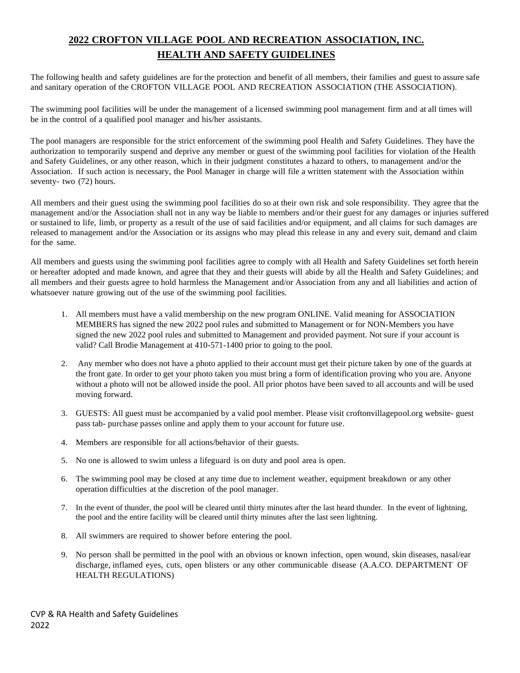# **2022 CROFTON VILLAGE POOL AND RECREATION ASSOCIATION, INC. HEALTH AND SAFETY GUIDELINES**

The following health and safety guidelines are for the protection and benefit of all members, their families and guest to assure safe and sanitary operation of the CROFTON VILLAGE POOL AND RECREATION ASSOCIATION (THE ASSOCIATION).

The swimming pool facilities will be under the management of a licensed swimming pool management firm and at all times will be in the control of a qualified pool manager and his/her assistants.

The pool managers are responsible for the strict enforcement of the swimming pool Health and Safety Guidelines. They have the authorization to temporarily suspend and deprive any member or guest of the swimming pool facilities for violation of the Health and Safety Guidelines, or any other reason, which in their judgment constitutes a hazard to others, to management and/or the Association. If such action is necessary, the Pool Manager in charge will file a written statement with the Association within seventy- two (72) hours.

All members and their guest using the swimming pool facilities do so at their own risk and sole responsibility. They agree that the management and/or the Association shall not in any way be liable to members and/or their guest for any damages or injuries suffered or sustained to life, limb, or property as a result of the use of said facilities and/or equipment, and all claims for such damages are released to management and/or the Association or its assigns who may plead this release in any and every suit, demand and claim for the same.

All members and guests using the swimming pool facilities agree to comply with all Health and Safety Guidelines set forth herein or hereafter adopted and made known, and agree that they and their guests will abide by all the Health and Safety Guidelines; and all members and their guests agree to hold harmless the Management and/or Association from any and all liabilities and action of whatsoever nature growing out of the use of the swimming pool facilities.

- 1. All members must have a valid membership on the new program ONLINE. Valid meaning for ASSOCIATION MEMBERS has signed the new 2022 pool rules and submitted to Management or for NON-Members you have signed the new 2022 pool rules and submitted to Management and provided payment. Not sure if your account is valid? Call Brodie Management at 410-571-1400 prior to going to the pool.
- 2. Any member who does not have a photo applied to their account must get their picture taken by one of the guards at the front gate. In order to get your photo taken you must bring a form of identification proving who you are. Anyone without a photo will not be allowed inside the pool. All prior photos have been saved to all accounts and will be used moving forward.
- 3. GUESTS: All guest must be accompanied by a valid pool member. Please visit croftonvillagepool.org website- guest pass tab- purchase passes online and apply them to your account for future use.
- 4. Members are responsible for all actions/behavior of their guests.
- 5. No one is allowed to swim unless a lifeguard is on duty and pool area is open.
- 6. The swimming pool may be closed at any time due to inclement weather, equipment breakdown or any other operation difficulties at the discretion of the pool manager.
- 7. In the event of thunder, the pool will be cleared until thirty minutes after the last heard thunder. In the event of lightning, the pool and the entire facility will be cleared until thirty minutes after the last seen lightning.
- 8. All swimmers are required to shower before entering the pool.
- 9. No person shall be permitted in the pool with an obvious or known infection, open wound, skin diseases, nasal/ear discharge, inflamed eyes, cuts, open blisters or any other communicable disease (A.A.CO. DEPARTMENT OF HEALTH REGULATIONS)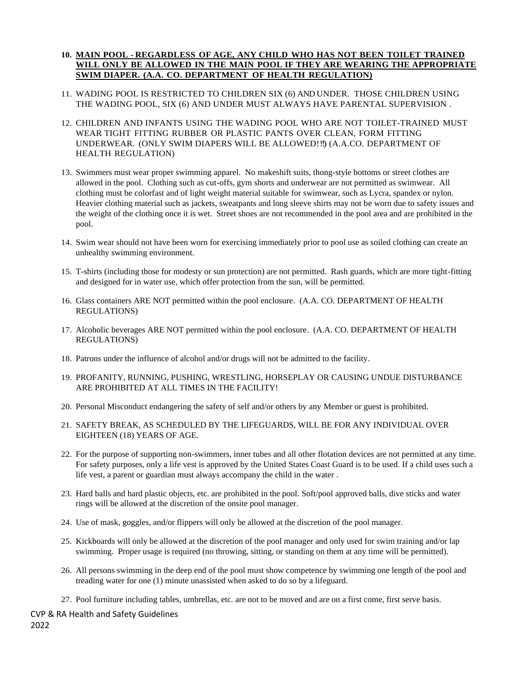### **10. MAIN POOL - REGARDLESS OF AGE, ANY CHILD WHO HAS NOT BEEN TOILET TRAINED WILL ONLY BE ALLOWED IN THE MAIN POOL IF THEY ARE WEARING THE APPROPRIATE SWIM DIAPER. (A.A. CO. DEPARTMENT OF HEALTH REGULATION)**

- 11. WADING POOL IS RESTRICTED TO CHILDREN SIX (6) AND UNDER. THOSE CHILDREN USING THE WADING POOL, SIX (6) AND UNDER MUST ALWAYS HAVE PARENTAL SUPERVISION .
- 12. CHILDREN AND INFANTS USING THE WADING POOL WHO ARE NOT TOILET-TRAINED MUST WEAR TIGHT FITTING RUBBER OR PLASTIC PANTS OVER CLEAN, FORM FITTING UNDERWEAR. (ONLY SWIM DIAPERS WILL BE ALLOWED!!!) (A.A.CO. DEPARTMENT OF HEALTH REGULATION)
- 13. Swimmers must wear proper swimming apparel. No makeshift suits, thong-style bottoms or street clothes are allowed in the pool. Clothing such as cut-offs, gym shorts and underwear are not permitted as swimwear. All clothing must be colorfast and of light weight material suitable for swimwear, such as Lycra, spandex or nylon. Heavier clothing material such as jackets, sweatpants and long sleeve shirts may not be worn due to safety issues and the weight of the clothing once it is wet. Street shoes are not recommended in the pool area and are prohibited in the pool.
- 14. Swim wear should not have been worn for exercising immediately prior to pool use as soiled clothing can create an unhealthy swimming environment.
- 15. T-shirts (including those for modesty or sun protection) are not permitted. Rash guards, which are more tight-fitting and designed for in water use, which offer protection from the sun, will be permitted.
- 16. Glass containers ARE NOT permitted within the pool enclosure. (A.A. CO. DEPARTMENT OF HEALTH REGULATIONS)
- 17. Alcoholic beverages ARE NOT permitted within the pool enclosure. (A.A. CO. DEPARTMENT OF HEALTH REGULATIONS)
- 18. Patrons under the influence of alcohol and/or drugs will not be admitted to the facility.
- 19. PROFANITY, RUNNING, PUSHING, WRESTLING, HORSEPLAY OR CAUSING UNDUE DISTURBANCE ARE PROHIBITED AT ALL TIMES IN THE FACILITY!
- 20. Personal Misconduct endangering the safety of self and/or others by any Member or guest is prohibited.
- 21. SAFETY BREAK, AS SCHEDULED BY THE LIFEGUARDS, WILL BE FOR ANY INDIVIDUAL OVER EIGHTEEN (18) YEARS OF AGE.
- 22. For the purpose of supporting non-swimmers, inner tubes and all other flotation devices are not permitted at any time. For safety purposes, only a life vest is approved by the United States Coast Guard is to be used. If a child uses such a life vest, a parent or guardian must always accompany the child in the water .
- 23. Hard balls and hard plastic objects, etc. are prohibited in the pool. Soft/pool approved balls, dive sticks and water rings will be allowed at the discretion of the onsite pool manager.
- 24. Use of mask, goggles, and/or flippers will only be allowed at the discretion of the pool manager.
- 25. Kickboards will only be allowed at the discretion of the pool manager and only used for swim training and/or lap swimming. Proper usage is required (no throwing, sitting, or standing on them at any time will be permitted).
- 26. All persons swimming in the deep end of the pool must show competence by swimming one length of the pool and treading water for one (1) minute unassisted when asked to do so by a lifeguard.
- 27. Pool furniture including tables, umbrellas, etc. are not to be moved and are on a first come, first serve basis.

CVP & RA Health and Safety Guidelines 2022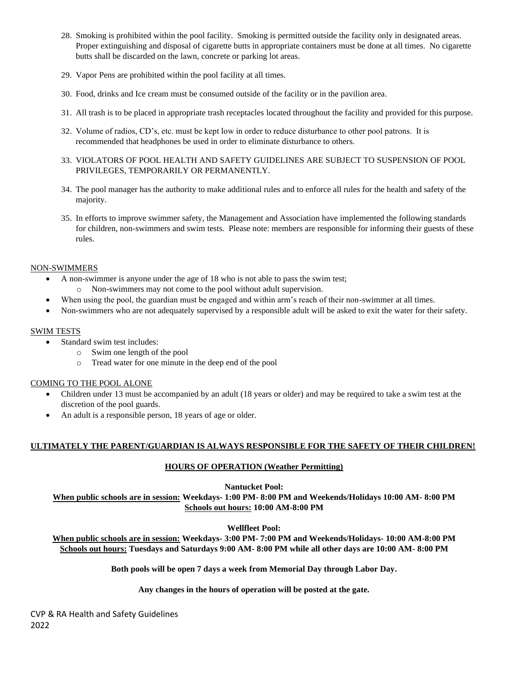- 28. Smoking is prohibited within the pool facility. Smoking is permitted outside the facility only in designated areas. Proper extinguishing and disposal of cigarette butts in appropriate containers must be done at all times. No cigarette butts shall be discarded on the lawn, concrete or parking lot areas.
- 29. Vapor Pens are prohibited within the pool facility at all times.
- 30. Food, drinks and Ice cream must be consumed outside of the facility or in the pavilion area.
- 31. All trash is to be placed in appropriate trash receptacles located throughout the facility and provided for this purpose.
- 32. Volume of radios, CD's, etc. must be kept low in order to reduce disturbance to other pool patrons. It is recommended that headphones be used in order to eliminate disturbance to others.
- 33. VIOLATORS OF POOL HEALTH AND SAFETY GUIDELINES ARE SUBJECT TO SUSPENSION OF POOL PRIVILEGES, TEMPORARILY OR PERMANENTLY.
- 34. The pool manager has the authority to make additional rules and to enforce all rules for the health and safety of the majority.
- 35. In efforts to improve swimmer safety, the Management and Association have implemented the following standards for children, non-swimmers and swim tests. Please note: members are responsible for informing their guests of these rules.

#### NON-SWIMMERS

- A non-swimmer is anyone under the age of 18 who is not able to pass the swim test;
	- o Non-swimmers may not come to the pool without adult supervision.
- When using the pool, the guardian must be engaged and within arm's reach of their non-swimmer at all times.
- Non-swimmers who are not adequately supervised by a responsible adult will be asked to exit the water for their safety.

## SWIM TESTS

- Standard swim test includes:
	- o Swim one length of the pool
	- o Tread water for one minute in the deep end of the pool

# COMING TO THE POOL ALONE

- Children under 13 must be accompanied by an adult (18 years or older) and may be required to take a swim test at the discretion of the pool guards.
- An adult is a responsible person, 18 years of age or older.

# **ULTIMATELY THE PARENT/GUARDIAN IS ALWAYS RESPONSIBLE FOR THE SAFETY OF THEIR CHILDREN!**

# **HOURS OF OPERATION (Weather Permitting)**

**Nantucket Pool: When public schools are in session: Weekdays- 1:00 PM- 8:00 PM and Weekends/Holidays 10:00 AM- 8:00 PM Schools out hours: 10:00 AM-8:00 PM**

**Wellfleet Pool:** 

**When public schools are in session: Weekdays- 3:00 PM- 7:00 PM and Weekends/Holidays- 10:00 AM-8:00 PM Schools out hours: Tuesdays and Saturdays 9:00 AM- 8:00 PM while all other days are 10:00 AM- 8:00 PM**

**Both pools will be open 7 days a week from Memorial Day through Labor Day.**

#### **Any changes in the hours of operation will be posted at the gate.**

CVP & RA Health and Safety Guidelines 2022